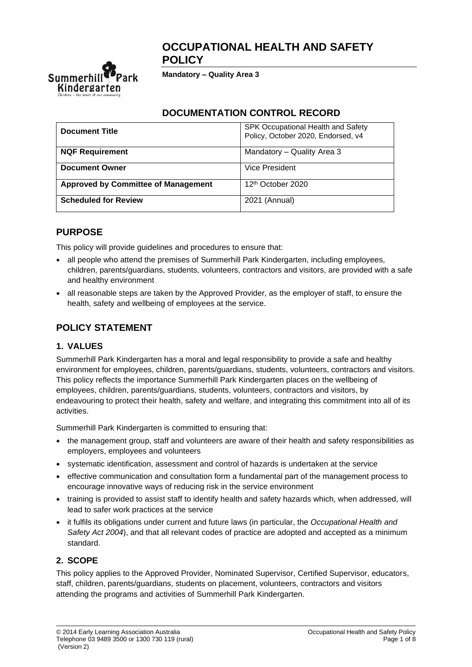# **OCCUPATIONAL HEALTH AND SAFETY POLICY**



**Mandatory – Quality Area 3**

## **DOCUMENTATION CONTROL RECORD**

| <b>Document Title</b>                      | SPK Occupational Health and Safety<br>Policy, October 2020, Endorsed, v4 |  |
|--------------------------------------------|--------------------------------------------------------------------------|--|
| <b>NQF Requirement</b>                     | Mandatory - Quality Area 3                                               |  |
| <b>Document Owner</b>                      | Vice President                                                           |  |
| <b>Approved by Committee of Management</b> | 12 <sup>th</sup> October 2020                                            |  |
| <b>Scheduled for Review</b>                | 2021 (Annual)                                                            |  |

# **PURPOSE**

This policy will provide guidelines and procedures to ensure that:

- all people who attend the premises of Summerhill Park Kindergarten, including employees, children, parents/guardians, students, volunteers, contractors and visitors, are provided with a safe and healthy environment
- all reasonable steps are taken by the Approved Provider, as the employer of staff, to ensure the health, safety and wellbeing of employees at the service.

# **POLICY STATEMENT**

## **1. VALUES**

Summerhill Park Kindergarten has a moral and legal responsibility to provide a safe and healthy environment for employees, children, parents/guardians, students, volunteers, contractors and visitors. This policy reflects the importance Summerhill Park Kindergarten places on the wellbeing of employees, children, parents/guardians, students, volunteers, contractors and visitors, by endeavouring to protect their health, safety and welfare, and integrating this commitment into all of its activities.

Summerhill Park Kindergarten is committed to ensuring that:

- the management group, staff and volunteers are aware of their health and safety responsibilities as employers, employees and volunteers
- systematic identification, assessment and control of hazards is undertaken at the service
- effective communication and consultation form a fundamental part of the management process to encourage innovative ways of reducing risk in the service environment
- training is provided to assist staff to identify health and safety hazards which, when addressed, will lead to safer work practices at the service
- it fulfils its obligations under current and future laws (in particular, the *Occupational Health and Safety Act 2004*), and that all relevant codes of practice are adopted and accepted as a minimum standard.

# **2. SCOPE**

This policy applies to the Approved Provider, Nominated Supervisor, Certified Supervisor, educators, staff, children, parents/guardians, students on placement, volunteers, contractors and visitors attending the programs and activities of Summerhill Park Kindergarten.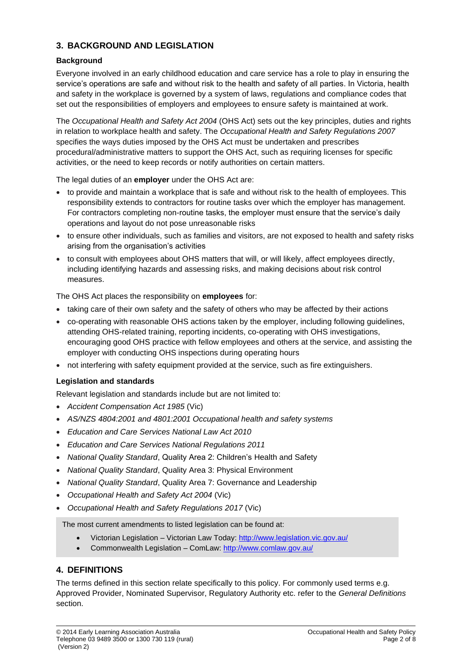## **3. BACKGROUND AND LEGISLATION**

### **Background**

Everyone involved in an early childhood education and care service has a role to play in ensuring the service's operations are safe and without risk to the health and safety of all parties. In Victoria, health and safety in the workplace is governed by a system of laws, regulations and compliance codes that set out the responsibilities of employers and employees to ensure safety is maintained at work.

The *Occupational Health and Safety Act 2004* (OHS Act) sets out the key principles, duties and rights in relation to workplace health and safety. The *Occupational Health and Safety Regulations 2007* specifies the ways duties imposed by the OHS Act must be undertaken and prescribes procedural/administrative matters to support the OHS Act, such as requiring licenses for specific activities, or the need to keep records or notify authorities on certain matters.

The legal duties of an **employer** under the OHS Act are:

- to provide and maintain a workplace that is safe and without risk to the health of employees. This responsibility extends to contractors for routine tasks over which the employer has management. For contractors completing non-routine tasks, the employer must ensure that the service's daily operations and layout do not pose unreasonable risks
- to ensure other individuals, such as families and visitors, are not exposed to health and safety risks arising from the organisation's activities
- to consult with employees about OHS matters that will, or will likely, affect employees directly, including identifying hazards and assessing risks, and making decisions about risk control measures.

The OHS Act places the responsibility on **employees** for:

- taking care of their own safety and the safety of others who may be affected by their actions
- co-operating with reasonable OHS actions taken by the employer, including following guidelines, attending OHS-related training, reporting incidents, co-operating with OHS investigations, encouraging good OHS practice with fellow employees and others at the service, and assisting the employer with conducting OHS inspections during operating hours
- not interfering with safety equipment provided at the service, such as fire extinguishers.

### **Legislation and standards**

Relevant legislation and standards include but are not limited to:

- *Accident Compensation Act 1985* (Vic)
- *AS/NZS 4804:2001 and 4801:2001 Occupational health and safety systems*
- *Education and Care Services National Law Act 2010*
- *Education and Care Services National Regulations 2011*
- *National Quality Standard*, Quality Area 2: Children's Health and Safety
- *National Quality Standard*, Quality Area 3: Physical Environment
- *National Quality Standard*, Quality Area 7: Governance and Leadership
- *Occupational Health and Safety Act 2004* (Vic)
- *Occupational Health and Safety Regulations 2017* (Vic)

The most current amendments to listed legislation can be found at:

- Victorian Legislation Victorian Law Today: <http://www.legislation.vic.gov.au/>
- Commonwealth Legislation ComLaw:<http://www.comlaw.gov.au/>

## **4. DEFINITIONS**

The terms defined in this section relate specifically to this policy. For commonly used terms e.g. Approved Provider, Nominated Supervisor, Regulatory Authority etc. refer to the *General Definitions* section.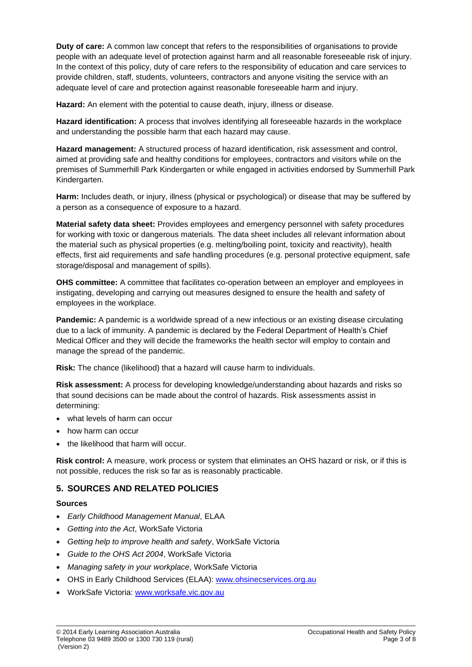**Duty of care:** A common law concept that refers to the responsibilities of organisations to provide people with an adequate level of protection against harm and all reasonable foreseeable risk of injury. In the context of this policy, duty of care refers to the responsibility of education and care services to provide children, staff, students, volunteers, contractors and anyone visiting the service with an adequate level of care and protection against reasonable foreseeable harm and injury.

**Hazard:** An element with the potential to cause death, injury, illness or disease.

**Hazard identification:** A process that involves identifying all foreseeable hazards in the workplace and understanding the possible harm that each hazard may cause.

**Hazard management:** A structured process of hazard identification, risk assessment and control, aimed at providing safe and healthy conditions for employees, contractors and visitors while on the premises of Summerhill Park Kindergarten or while engaged in activities endorsed by Summerhill Park Kindergarten.

**Harm:** Includes death, or injury, illness (physical or psychological) or disease that may be suffered by a person as a consequence of exposure to a hazard.

**Material safety data sheet:** Provides employees and emergency personnel with safety procedures for working with toxic or dangerous materials. The data sheet includes all relevant information about the material such as physical properties (e.g. melting/boiling point, toxicity and reactivity), health effects, first aid requirements and safe handling procedures (e.g. personal protective equipment, safe storage/disposal and management of spills).

**OHS committee:** A committee that facilitates co-operation between an employer and employees in instigating, developing and carrying out measures designed to ensure the health and safety of employees in the workplace.

**Pandemic:** A pandemic is a worldwide spread of a new infectious or an existing disease circulating due to a lack of immunity. A pandemic is declared by the Federal Department of Health's Chief Medical Officer and they will decide the frameworks the health sector will employ to contain and manage the spread of the pandemic.

**Risk:** The chance (likelihood) that a hazard will cause harm to individuals.

**Risk assessment:** A process for developing knowledge/understanding about hazards and risks so that sound decisions can be made about the control of hazards. Risk assessments assist in determining:

- what levels of harm can occur
- how harm can occur
- the likelihood that harm will occur.

**Risk control:** A measure, work process or system that eliminates an OHS hazard or risk, or if this is not possible, reduces the risk so far as is reasonably practicable.

## **5. SOURCES AND RELATED POLICIES**

#### **Sources**

- *Early Childhood Management Manual*, ELAA
- *Getting into the Act*, WorkSafe Victoria
- *Getting help to improve health and safety*, WorkSafe Victoria
- *Guide to the OHS Act 2004*, WorkSafe Victoria
- *Managing safety in your workplace*, WorkSafe Victoria
- OHS in Early Childhood Services (ELAA): [www.ohsinecservices.org.au](http://www.ohsinecservices.org.au/)
- WorkSafe Victoria: [www.worksafe.vic.gov.au](http://www.worksafe.vic.gov.au/)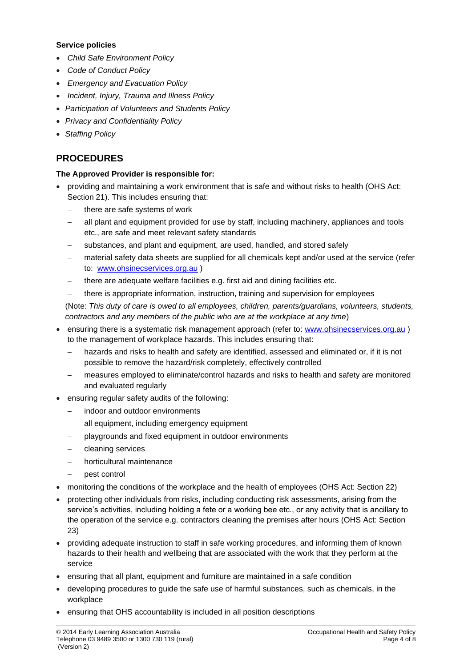#### **Service policies**

- *Child Safe Environment Policy*
- *Code of Conduct Policy*
- *Emergency and Evacuation Policy*
- *Incident, Injury, Trauma and Illness Policy*
- *Participation of Volunteers and Students Policy*
- *Privacy and Confidentiality Policy*
- *Staffing Policy*

# **PROCEDURES**

### **The Approved Provider is responsible for:**

- providing and maintaining a work environment that is safe and without risks to health (OHS Act: Section 21). This includes ensuring that:
	- there are safe systems of work
	- all plant and equipment provided for use by staff, including machinery, appliances and tools etc., are safe and meet relevant safety standards
	- substances, and plant and equipment, are used, handled, and stored safely
	- material safety data sheets are supplied for all chemicals kept and/or used at the service (refer to: [www.ohsinecservices.org.au](http://www.ohsinecservices.org.au/) )
	- there are adequate welfare facilities e.g. first aid and dining facilities etc.
	- there is appropriate information, instruction, training and supervision for employees

(Note: *This duty of care is owed to all employees, children, parents/guardians, volunteers, students, contractors and any members of the public who are at the workplace at any time*)

- ensuring there is a systematic risk management approach (refer to: [www.ohsinecservices.org.au](http://www.ohsinecservices.org.au/)) to the management of workplace hazards. This includes ensuring that:
	- hazards and risks to health and safety are identified, assessed and eliminated or, if it is not possible to remove the hazard/risk completely, effectively controlled
	- measures employed to eliminate/control hazards and risks to health and safety are monitored and evaluated regularly
- ensuring regular safety audits of the following:
	- indoor and outdoor environments
	- all equipment, including emergency equipment
	- playgrounds and fixed equipment in outdoor environments
	- − cleaning services
	- − horticultural maintenance
	- − pest control
- monitoring the conditions of the workplace and the health of employees (OHS Act: Section 22)
- protecting other individuals from risks, including conducting risk assessments, arising from the service's activities, including holding a fete or a working bee etc., or any activity that is ancillary to the operation of the service e.g. contractors cleaning the premises after hours (OHS Act: Section 23)
- providing adequate instruction to staff in safe working procedures, and informing them of known hazards to their health and wellbeing that are associated with the work that they perform at the service
- ensuring that all plant, equipment and furniture are maintained in a safe condition
- developing procedures to guide the safe use of harmful substances, such as chemicals, in the workplace
- ensuring that OHS accountability is included in all position descriptions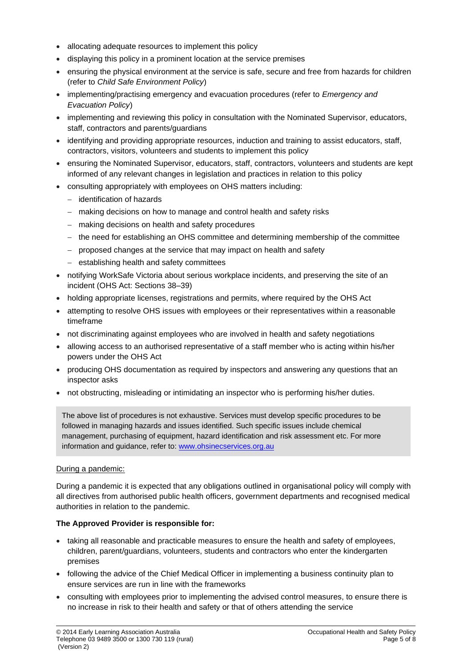- allocating adequate resources to implement this policy
- displaying this policy in a prominent location at the service premises
- ensuring the physical environment at the service is safe, secure and free from hazards for children (refer to *Child Safe Environment Policy*)
- implementing/practising emergency and evacuation procedures (refer to *Emergency and Evacuation Policy*)
- implementing and reviewing this policy in consultation with the Nominated Supervisor, educators, staff, contractors and parents/guardians
- identifying and providing appropriate resources, induction and training to assist educators, staff, contractors, visitors, volunteers and students to implement this policy
- ensuring the Nominated Supervisor, educators, staff, contractors, volunteers and students are kept informed of any relevant changes in legislation and practices in relation to this policy
- consulting appropriately with employees on OHS matters including:
	- − identification of hazards
	- − making decisions on how to manage and control health and safety risks
	- − making decisions on health and safety procedures
	- − the need for establishing an OHS committee and determining membership of the committee
	- − proposed changes at the service that may impact on health and safety
	- − establishing health and safety committees
- notifying WorkSafe Victoria about serious workplace incidents, and preserving the site of an incident (OHS Act: Sections 38–39)
- holding appropriate licenses, registrations and permits, where required by the OHS Act
- attempting to resolve OHS issues with employees or their representatives within a reasonable timeframe
- not discriminating against employees who are involved in health and safety negotiations
- allowing access to an authorised representative of a staff member who is acting within his/her powers under the OHS Act
- producing OHS documentation as required by inspectors and answering any questions that an inspector asks
- not obstructing, misleading or intimidating an inspector who is performing his/her duties.

The above list of procedures is not exhaustive. Services must develop specific procedures to be followed in managing hazards and issues identified. Such specific issues include chemical management, purchasing of equipment, hazard identification and risk assessment etc. For more information and guidance, refer to: [www.ohsinecservices.org.au](http://www.ohsinecservices.org.au/)

#### During a pandemic:

During a pandemic it is expected that any obligations outlined in organisational policy will comply with all directives from authorised public health officers, government departments and recognised medical authorities in relation to the pandemic.

### **The Approved Provider is responsible for:**

- taking all reasonable and practicable measures to ensure the health and safety of employees, children, parent/guardians, volunteers, students and contractors who enter the kindergarten premises
- following the advice of the Chief Medical Officer in implementing a business continuity plan to ensure services are run in line with the frameworks
- consulting with employees prior to implementing the advised control measures, to ensure there is no increase in risk to their health and safety or that of others attending the service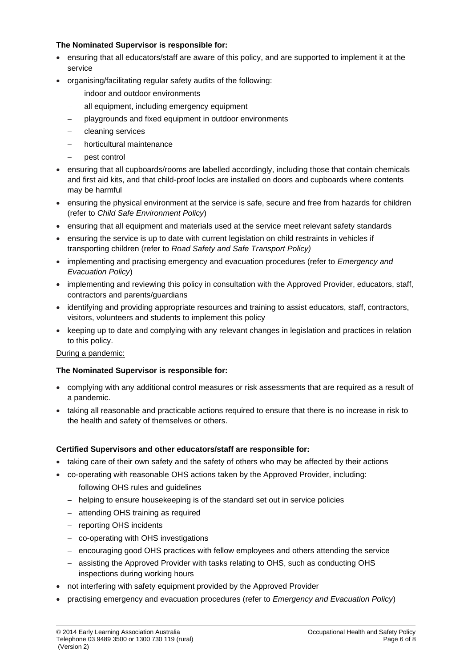### **The Nominated Supervisor is responsible for:**

- ensuring that all educators/staff are aware of this policy, and are supported to implement it at the service
- organising/facilitating regular safety audits of the following:
	- indoor and outdoor environments
	- all equipment, including emergency equipment
	- − playgrounds and fixed equipment in outdoor environments
	- − cleaning services
	- − horticultural maintenance
	- − pest control
- ensuring that all cupboards/rooms are labelled accordingly, including those that contain chemicals and first aid kits, and that child-proof locks are installed on doors and cupboards where contents may be harmful
- ensuring the physical environment at the service is safe, secure and free from hazards for children (refer to *Child Safe Environment Policy*)
- ensuring that all equipment and materials used at the service meet relevant safety standards
- ensuring the service is up to date with current legislation on child restraints in vehicles if transporting children (refer to *Road Safety and Safe Transport Policy)*
- implementing and practising emergency and evacuation procedures (refer to *Emergency and Evacuation Policy*)
- implementing and reviewing this policy in consultation with the Approved Provider, educators, staff, contractors and parents/guardians
- identifying and providing appropriate resources and training to assist educators, staff, contractors, visitors, volunteers and students to implement this policy
- keeping up to date and complying with any relevant changes in legislation and practices in relation to this policy.

### During a pandemic:

### **The Nominated Supervisor is responsible for:**

- complying with any additional control measures or risk assessments that are required as a result of a pandemic.
- taking all reasonable and practicable actions required to ensure that there is no increase in risk to the health and safety of themselves or others.

### **Certified Supervisors and other educators/staff are responsible for:**

- taking care of their own safety and the safety of others who may be affected by their actions
- co-operating with reasonable OHS actions taken by the Approved Provider, including:
	- − following OHS rules and guidelines
	- − helping to ensure housekeeping is of the standard set out in service policies
	- − attending OHS training as required
	- − reporting OHS incidents
	- − co-operating with OHS investigations
	- − encouraging good OHS practices with fellow employees and others attending the service
	- − assisting the Approved Provider with tasks relating to OHS, such as conducting OHS inspections during working hours
- not interfering with safety equipment provided by the Approved Provider
- practising emergency and evacuation procedures (refer to *Emergency and Evacuation Policy*)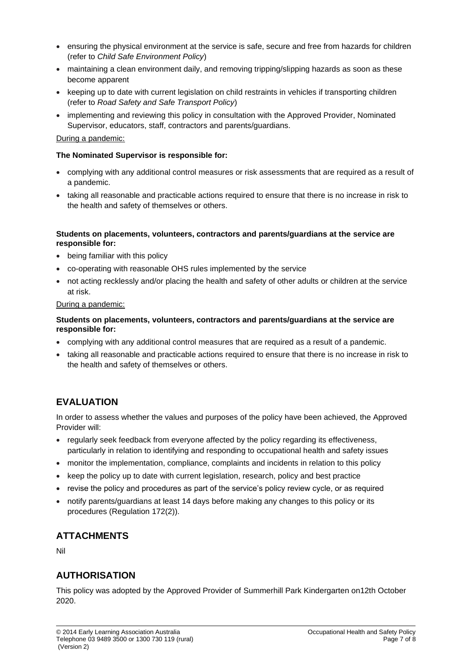- ensuring the physical environment at the service is safe, secure and free from hazards for children (refer to *Child Safe Environment Policy*)
- maintaining a clean environment daily, and removing tripping/slipping hazards as soon as these become apparent
- keeping up to date with current legislation on child restraints in vehicles if transporting children (refer to *Road Safety and Safe Transport Policy*)
- implementing and reviewing this policy in consultation with the Approved Provider, Nominated Supervisor, educators, staff, contractors and parents/guardians.

#### During a pandemic:

#### **The Nominated Supervisor is responsible for:**

- complying with any additional control measures or risk assessments that are required as a result of a pandemic.
- taking all reasonable and practicable actions required to ensure that there is no increase in risk to the health and safety of themselves or others.

#### **Students on placements, volunteers, contractors and parents/guardians at the service are responsible for:**

- being familiar with this policy
- co-operating with reasonable OHS rules implemented by the service
- not acting recklessly and/or placing the health and safety of other adults or children at the service at risk.

#### During a pandemic:

#### **Students on placements, volunteers, contractors and parents/guardians at the service are responsible for:**

- complying with any additional control measures that are required as a result of a pandemic.
- taking all reasonable and practicable actions required to ensure that there is no increase in risk to the health and safety of themselves or others.

# **EVALUATION**

In order to assess whether the values and purposes of the policy have been achieved, the Approved Provider will:

- regularly seek feedback from everyone affected by the policy regarding its effectiveness, particularly in relation to identifying and responding to occupational health and safety issues
- monitor the implementation, compliance, complaints and incidents in relation to this policy
- keep the policy up to date with current legislation, research, policy and best practice
- revise the policy and procedures as part of the service's policy review cycle, or as required
- notify parents/guardians at least 14 days before making any changes to this policy or its procedures (Regulation 172(2)).

# **ATTACHMENTS**

Nil

# **AUTHORISATION**

This policy was adopted by the Approved Provider of Summerhill Park Kindergarten on12th October 2020.